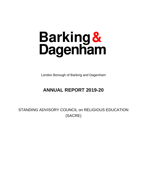# Barking&<br>Dagenham

London Borough of Barking and Dagenham

# **ANNUAL REPORT 2019-20**

STANDING ADVISORY COUNCIL on RELIGIOUS EDUCATION (SACRE)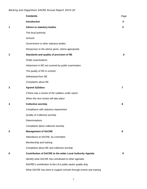|   | <b>Contents</b>                                                    | Page           |
|---|--------------------------------------------------------------------|----------------|
|   | Introduction                                                       | 4              |
| 1 | <b>Advice to statutory bodies</b>                                  | 5              |
|   | The local authority                                                |                |
|   | Schools                                                            |                |
|   | Government or other statutory bodies                               |                |
|   | Responses to the advice given, where appropriate                   |                |
| 2 | Standards and quality of provision of RE                           | 6              |
|   | <b>Public examinations</b>                                         |                |
|   | Attainment in RE not covered by public examination                 |                |
|   | The quality of RE in schools                                       |                |
|   | Withdrawal from RE                                                 |                |
|   | Complaints about RE                                                |                |
| 3 | <b>Agreed Syllabus</b>                                             | $\overline{7}$ |
|   | If there was a review of the syllabus under report                 |                |
|   | When the next review will take place                               |                |
| 4 | <b>Collective worship</b>                                          | 8              |
|   | Compliance with statutory requirement                              |                |
|   | Quality of Collective worship                                      |                |
|   | Determinations                                                     |                |
|   | Complaints about collective worship                                |                |
| 5 | <b>Management of SACRE</b>                                         | 8              |
|   | Attendance at SACRE, by committee                                  |                |
|   | Membership and training                                            |                |
|   | Complaints about RE and collective worship                         |                |
| 6 | Contribution of SACRE to the wider Local Authority Agenda          | 9              |
|   | Identify what SACRE has contributed to other agendas               |                |
|   | SACRE's contribution to the LA's public sector quality duty        |                |
|   | What SACRE has done to support schools through events and training |                |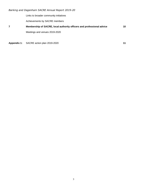Links to broader community initiatives

Achievements by SACRE members

# **7 Membership of SACRE, local authority officers and professional advice 10** Meetings and venues 2019-2020

**Appendix 1:** SACRE action plan 2019-2020 **11**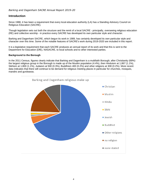# **Introduction**

Since 1988, it has been a requirement that every local education authority (LA) has a Standing Advisory Council on Religious Education (SACRE).

Though legislation sets out both the structure and the remit of a local SACRE - principally, overseeing religious education (RE) and collective worship - in practice every SACRE has developed its own particular style and character.

Barking and Dagenham SACRE, which begun its work in 1989, has certainly developed its own particular style and character over this time. Some of the notable features of SACRE's work during 2019-2020 are included in this report.

It is a legislative requirement that each SACRE produces an annual report of its work and that this is sent to the Department for Education (DfE), NASACRE, to local schools and to other interested parties.

#### **Background to the Borough**

In the 2011 Census, figures clearly indicate that Barking and Dagenham is a multifaith Borough; after Christianity (69%) the largest religious group in the Borough is made up of the Muslim population (4.4%), then Hinduism at 1,867 (1.1%), Sikhism at 1,800 (1.1%), Judaism at 500 (0.3%), Buddhism 400 (0.2%) and other religions at 308 (0.2%). More recent data indicates that there will continue to be demand for religious meeting places in particular for churches, mosques, mandirs and gurdwaras.

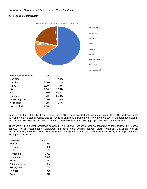#### **2018 London religious data**



According to the 2020 school census there were 43,722 (Source: School Census, January 2020). This includes pupils attending school-based nurseries and 6th forms in Barking and Dagenham. They make up 21% of the total population in the borough. For comparison, across London as a whole children and young people are 24% of the population.

There were 183 different languages spoken in Barking and Dagenham schools according to the January 2020 school census. The ten most spoken languages in schools were English, Bengali, Urdu, Romanian, Lithuanian, Yoruba, Albanian, Portuguese, Panjab and French. Understanding and appreciating difference and diversity is an important value to support in schools.

| Language       | <b>Number</b> |
|----------------|---------------|
| English        | 21433         |
| Bengali        | 3096          |
| Urdu           | 2285          |
| Romanian       | 1761          |
| Lithuanian     | 1528          |
| Yoruba         | 1511          |
| Albanian/Shqip | 892           |
| Portuguese     | 750           |
| Panjabi        | 726           |
| French         | 618           |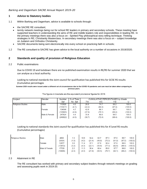# **1 Advice to Statutory bodies**

- 1.1 Within Barking and Dagenham, advice is available to schools through:
	- the SACRE RE consultant:
	- termly network meetings being run for school RE leaders in primary and secondary schools. These meeting have supported teachers in understanding the aims of RE and middle leaders role and responsibilities in leading RE. In the primary meetings there was also a focus on - Spirited Play philosophical story telling technique; Thinking strategies in RE; Christianity Masterclass. In secondary meetings there was also a focus on – subject knowledge on Judaism and Orthodox Christianity.
	- SACRE documents being sent electronically into every school on practicing faith in schools;
- 1.2 The RE consultant to SACRE has given advice to the local authority on a number of occasions in 2019/2020.

# **2 Standards and quality of provision of Religious Education**

#### 2.2 Public examinations

Due to COVID 19 and lockdown there are no published examination results in RE/RS for summer 2020 that we can analyse as a local authority.

Looking to national standards the Joint council for qualification has published this for GCSE RS results (Cumulative percentages

Summer 2020 results were issued under a different set of circumstances due to the COVID-19 pandemic and care must be taken when comparing to previous vears.

| <b>Subject</b>           | Gender        | <b>Number</b> | % of Total |        | <b>CUMULATIVE PERCENTAGES by Grade</b> |        |         |
|--------------------------|---------------|---------------|------------|--------|----------------------------------------|--------|---------|
|                          |               | Sat           | No. Sat    | 7/A    | 4/C                                    | 1/G    |         |
| <b>Religious Studies</b> | Male          | 113026        | 4.0        | 26.6   | 74.7                                   | 99.2   | 100.0   |
|                          |               | (113417)      | (4.1)      | (22.2) | (64.4)                                 | (97.4) | (100.0) |
|                          | Female        | 134598        | 4.7        | 42.8   | 86.1                                   | 99.7   | 100.0   |
|                          |               | (135605)      | (4.9)      | (37.9) | (79.1)                                 | (99.2) | (100.0) |
|                          | Male & Female | 247624        | 4.4        | 35.4   | 80.9                                   | 99.5   | 100.0   |
|                          |               | (249022)      | (4.5)      | (30.7) | (72.4)                                 | (98.4) | (100.0) |

The figures in brackets are the equivalent provisional figures for 2019.

# Looking to national standards the Joint council for qualification has published this for A'Level RS results (Cumulative percentages)

| <b>Religious Studies</b> | <b>Male</b>   | 4662    | 1.3   | 10.9  | 34.4   | 62.7   | 87.3   | 97.0   | 99.7   | 100.0   |
|--------------------------|---------------|---------|-------|-------|--------|--------|--------|--------|--------|---------|
|                          |               | (5434)  | (1.5) | (4.5) | (21.4) | (49.9) | (75.3) | (91.0) | (97.5) | (100.0) |
|                          | Female        | 12877   | 3.0   | 11.4  | 37.1   | 67.8   | 90.4   | 97.9   | 99.9   | 100.0   |
|                          |               | (13972) | (3.2) | (4.3) | (22.1) | (50.8) | (77.3) | (92.6) | (98.4) | (100.0) |
|                          | Male & Female | 17539   | 2.2   | 11.3  | 36.4   | 66.4   | 89.6   | 97.7   | 99.8   | 100.0   |
|                          |               | (19406) | (2.4) | (4.3) | (21.9) | (50.5) | (76.7) | (92.1) | (98.2) | (100.0) |
|                          |               |         |       |       |        |        |        |        |        |         |

#### 2.3 Attainment in RE

The RE consultant has worked with primary and secondary subject leaders through network meetings on grading and assessing pupils work in 2019-20.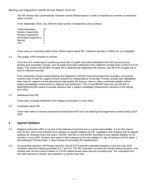The RE Advisor has systematically reviewed school Ofsted reports in order to maintain an overview of standards within schools.

From September 2019- July 2020 the total number of inspections are as follows:

| <b>Total Inspections</b>   | 12 |
|----------------------------|----|
| <b>Nursery Inspections</b> | 0  |
| <b>Primary Inspections</b> | 8  |
| Secondary Inspections      | 2  |
| Special                    | 1  |
| <b>UTC</b>                 |    |

There were no comments within these Ofsted reports about RE, Collective worship or SMSC for us to highlight.

2.4 The quality of RE provision in schools

From the LA's monitoring of schools we know that 13 pupils have been withdrawn from RE lessons across primary and secondary schools, and 20 pupils have been withdrawn from Collective worship from a total of 43,722 pupils. This means that 99.98% of pupils are in Barking and Dagenham RE lessons, and 99.97% of pupils are in acts of collective worship.

From monitoring schools needs Barking and Dagenham SACRE have discovered that secondary and primary schools have a need for support around contacts for visiting places of worship. Primary schools also highlighted their need for support around planning for high quality RE lessons; there is also a continued needfor further subject knowledge enhancement in religions and worldviews. The LA and BDSIP have won via SACRE a Westhill/NASACRE award to provide teachers with 3 subject knowledge enhancement sessions in the Spring term 2021.

2.5 Withdrawal from RE

There were 13 pupils withdrawn from Religious Education in 2019-2020

2.6 Complaints about RE

There have been no formal complaints received about RE from any Barking and Dagenham schools during 2019- 2020.

# **3 Agreed Syllabus**

- 3.1 Religious Education (RE) is not part of the National Curriculum but is a local responsibility. It is for this reason that, by law, each local authority must produce an agreed syllabus for RE. Legislation also requires that an agreed syllabus be reviewed every five years. SACRE, with the LA and BDSIP launched ta new Agreed Syllabus for its schools in June 2020. Schools were given a days training on the new syllabus (1 day of training to EYFS leads; 1 day training to Primary leads; 1 days training to secondary RE departments)
- 3.2 15 secondary teachers; 46 Primary teachers and 50 EYFS teachers attended training in June and July 2020. Teachers rated the training providing at 5.7 out of 6. The RE consultant recorded the virtual training sessions, and schools who missed it due to illness or COVID related issues were sent the recording link. The consultant then met with teachers to answer any questions or queries they had.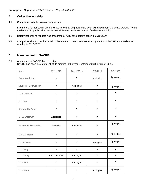# **4 Collective worship**

4.1 Compliance with the statutory requirement

From the LA's monitoring of schools we know that 20 pupils have been withdrawn from Collective worship from a total of 43,722 pupils. This means that 99.98% of pupils are in acts of collective worship.

- 4.2 Determinations: no request was brought to SACRE for a determination in 2019-2020.
- 4.3 Complaints about collective worship: there were no complaints received by the LA or SACRE about collective worship in 2019-2020.

# **5 Management of SACRE**

#### 5.1 Attendance at SACRE, by committee SACRE has been quorate for all of its meeting in the year September 20198-August 2020.

| Name                        | 19/9/2019    | 20/11/2019 | 6/2/2020  | 7/5/2020  |
|-----------------------------|--------------|------------|-----------|-----------|
| Pastor A Adesina            | X            | Y          | Apologies | Apologies |
| Councillor D Akwaboah       | Υ            | Apologies  | Υ         | Apologies |
| Ms E Anderton               | Υ            | Υ          | Υ         | Υ         |
| Ms L Bird                   | Υ            | Υ          | Υ         | x         |
| Reverend M Court            | Υ            | Υ          | Υ         | Υ         |
| Mr W Crossman               | Apologies    | Υ          | Υ         | X         |
| <b>Reverend R Descombes</b> | Apologies    | Apologies  | Υ         | Apologies |
| Mrs CD' Netto               | Υ            | Υ          | Υ         | Apologies |
| Ms R Everett                | Υ            | Υ          | Apologies | Apologies |
| Mr P Fing                   | X            | x          | x         | x         |
| Ms M Haig                   | not a member | Apologies  | Υ         | Υ         |
| Mr H Jain                   | X            | Apologies  | x         | Υ         |
| Ms F Jeens                  | Υ            | Υ          | Apologies | Apologies |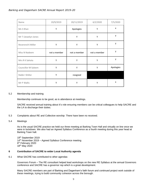| Name                | 19/9/2019    | 20/11/2019   | 6/2/2020     | 7/5/2020  |
|---------------------|--------------|--------------|--------------|-----------|
| Ms S Khan           | Υ            | Apologies    | Y            | X         |
| Mr T Llewelyn-Jones |              | Υ            | Υ            | Y         |
| Reverend K Miller   | Υ            | Y            | Y            | Υ         |
| Miss N Nadeem       | not a member | not a member | not a member | Y         |
| Mrs R K Sahota      | Υ            | Υ            | Υ            | Y         |
| Councillor M Saleem | Y            | Y            | Y            | Apologies |
| Rabbi I Shillor     | Υ            | resigned     |              |           |
| Mr P Wallis         | Υ            | Υ            | Υ            | x         |

#### 5.2 Membership and training

Membership continues to be good, as is attendance at meetings.

SACRE received annual training about it's role ensuring members can be critical colleagues to help SACRE and the LA to discharge their duties.

5.3 Complaints about RE and Collective worship: There have been no received.

#### 5.4 Meetings

As is the usual SACRE practice we held our three meeting at Barking Town Hall and virtually on line once we were in lockdown. We also had an Agreed Syllabus Conference as a fourth meeting during this year head at Barking Town hall.

19th September 2019 14<sup>th</sup> November 2019 – Agreed Syllabus Conference meeting 6<sup>th</sup> February 2020 18th May 2020

#### **6 Contribution of SACRE to wider Local Authority agenda**

6.1 What SACRE has contributed to other agendas

Governors Forum – The RE consultant helped lead workshops on the new RE Syllabus at the annual Governors conference and SACRE has a governor rep which is a great development.

Many SACRE members are part of Barking and Dagenham's faith forum and continued project work outside of these meetings, trying to build community cohesion across the borough.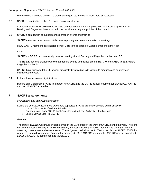We have had members of the LA's prevent team join us, in order to work more strategically.

6.2 SACRE's contribution to the LA's public sector equality duty:

Councilors who are SACRE members have contributed to the LA's ongoing work to ensure all groups within Barking and Dagenham have a voice in the decision making and policies of the council.

6.3 SACRE's contribution to support schools through events and training

SACRE members have made contributions to primary and secondary network meetings.

Many SACRE members have hosted school visits to their places of worship throughout the year.

*Local*

SACRE via BDSIP provides termly network meetings for all Barking and Dagenham schools on RE.

The RE advisor also provides whole staff training events and advice around RE, CW and SMSC to Barking and Dagenham schools.

SACRE have supported the RE advisor practically by providing faith visitors to meetings and conferences throughout the year.

6.4 Links to broader community initiatives

Barking and Dagenham SACRE is a part of NASACRE and the LA RE advisor is a member of AREIAC, NATRE and the NASACRE executive.

## 7 **SACRE arrangements**

#### *Professional and administrative support*

During the year 2019-2020 three LA officers supported SACRE professionally and administratively:

- o Claire Clinton as Professional RE advisor;
- $\circ$  Stephen Noon from BDSIP, Avril Carnelley as the Local Authority link office, and
- o Jackie Day as Clerk to SACRE.

#### *Finance*

The sum of **£16,015** was made available through the LA to support the work of SACRE during the year. The sum covered the cost of employing an RE consultant, the cost of clerking SACRE, membership of NASACRE and attending conferences and refreshments**.** (These figures break down to: £1550 for the clerk to SACRE; £5000 for Agreed Syllabus development; Catering for meetings £120; NASACRE membership £95; RE Advisor consultant £14,250; NASACRE conference and travel £90).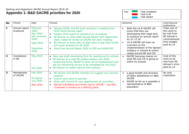# *Barking and Dagenham SACRE Annual Report 2019-20* **Appendix 1: B&D SACRE priorities for 2020**



| <b>No</b>      | Priority                  | Date                                                                                               | Process                                                                                                                                                                                                                                                                                                                                                                                        | <b>Outcomes</b>                                                                                                                                                                                                                                                      | Cost/resource<br>implications                                                                              |
|----------------|---------------------------|----------------------------------------------------------------------------------------------------|------------------------------------------------------------------------------------------------------------------------------------------------------------------------------------------------------------------------------------------------------------------------------------------------------------------------------------------------------------------------------------------------|----------------------------------------------------------------------------------------------------------------------------------------------------------------------------------------------------------------------------------------------------------------------|------------------------------------------------------------------------------------------------------------|
| 1              | Annual report<br>produced | February<br>2020<br>May 2020<br>Nov onwards<br>2020<br><b>Sept 2020</b><br><b>December</b><br>2020 | Discuss GCSE, and AS exam analysis in meeting from<br>2018-2019 Annual report<br>Publish 2019 report to schools & on LA website<br>RE Advisor to write draft Annual Report from September<br>2020, ready for review at SACRE Jan 2021 meeting<br>RE Advisor to liaise with LA data team to get 2020 GCSE,<br>A/S exam analysis for RE 2020<br>Send final Annual Report 2020 to DFE and NASACRE | Both the LA & SACRE will<br>know that they are<br>discharging their legal duty<br>to produce an annual report<br>by 31.12.20<br>LA & SACRE will have an<br>overview on the<br>implementation of the Agreed<br>Syllabus in schools & school<br>needs around RE and CW | Total cost of<br>this work to<br>be met from<br>RE Adviser's<br>commissioned<br>time budget,<br>paid by LA |
| $\overline{2}$ | Compliance<br>in RE       | May 2020<br><b>Oct 2020</b>                                                                        | Pass new draft monitoring form for sending out to schools<br>$\bullet$<br>RE Advisor to e-mail RE subject leaders new 2020<br>monitoring forms, BDSIP to send out to headteachers and<br>ask for monitoring survey to be completed by Oct 2020<br>RE Advisor to collect returns from schools<br>$\bullet$                                                                                      | SACRE becomes clearer on<br>$\bullet$<br>what RE and CW is going on<br>within its schools                                                                                                                                                                            | Cost of this<br>work to be<br>met from RE<br>Adviser's time<br>paid by LA                                  |
| $\mathbf{3}$   | Membership<br>of SACRE    | <b>Feb 2020</b><br>On-going<br><b>July 2020</b><br>May 2020                                        | RE advisor and SACRE members to suggest new recruits:<br>$\bullet$<br>ongoing<br>Ensure each panel is quorate<br>Work with council for new appointment of councillors<br>Recruit a Buddhist and Hindu rep for SACRE - use Billy<br>$\bullet$<br>Crossman's contacts as a starting place                                                                                                        | a good breath and diversity<br>$\bullet$<br>of faiths established on B&D<br><b>SACRE</b><br>SACRE as far as is possible is<br>representative of B&D<br>population                                                                                                    | No cost<br>implication                                                                                     |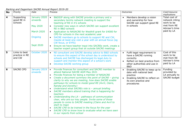*Barking and Dagenham SACRE Annual Report 2019-20*

| <b>No</b> | Priority                                  | Date                                                                                                  | Process                                                                                                                                                                                                                                                                                                                                                                                                                                                                                                                                                                                                                                                                                                                                                                                                                                                                                                          | Outcomes                                                                                                                                                                      | Cost/resource<br>implications                                                               |
|-----------|-------------------------------------------|-------------------------------------------------------------------------------------------------------|------------------------------------------------------------------------------------------------------------------------------------------------------------------------------------------------------------------------------------------------------------------------------------------------------------------------------------------------------------------------------------------------------------------------------------------------------------------------------------------------------------------------------------------------------------------------------------------------------------------------------------------------------------------------------------------------------------------------------------------------------------------------------------------------------------------------------------------------------------------------------------------------------------------|-------------------------------------------------------------------------------------------------------------------------------------------------------------------------------|---------------------------------------------------------------------------------------------|
| 4         | Supporting<br>good RE in<br>schools       | January 2020<br>onwards<br><b>May 2020</b><br><b>March 2020</b><br><b>Ongoing</b><br><b>Sept 2020</b> | B&DSIP along with SACRE provide a primary and a<br>$\bullet$<br>secondary termly network meeting to support the<br>teaching of RE in it's schools<br>Consider new ways in which SACRE can support excellent<br>RE in B&D schools<br>Application to NASACRE for Westhill grant for £4000 for<br>$\bullet$<br>CPD for schools in the next academic year<br>SACRE members go to schools to support RE and CW,<br>$\bullet$<br>maybe at least one visit a year with an annual focus (eg<br>CW focus, or EYFS)<br>Ensure we have teacher input into SACREs work, create a<br>$\bullet$<br>teacher expert group that sit outside SACRE meetings                                                                                                                                                                                                                                                                        | Members develop a vision<br>and ownership for how<br>SACRE can support good RE<br>in schools                                                                                  | Total cost of<br>network mting<br>work to be<br>met from RE<br>Adviser's time<br>paid by LA |
| 5         | Links to best<br>practice in RE<br>and CW | October 2020                                                                                          | RE consultant and SACRE develop advice to B&D schools<br>$\bullet$<br>to ensure this aspect of the school day is understood by<br>schools and SACRE has discharged its legal duty to<br>support and monitor this aspect of a school's work<br>Develop SACRE working group<br>$\bullet$                                                                                                                                                                                                                                                                                                                                                                                                                                                                                                                                                                                                                           | Fulfil legal requirement to<br>$\bullet$<br>have a SACRE running<br>correctly<br>Reflect on best practice from<br>$\bullet$<br>other authorities and use in<br><b>B&amp;D</b> | Cost of this<br>work to be<br>met from RE<br>Adviser's time<br>paid by LA                   |
| 6         | <b>SACRE CPD</b>                          | January 2019<br>onwards                                                                               | Provide finances for consultant and SACRE member to<br>$\bullet$<br>attend National SACRE AGM May 2021<br>Provide finances for being a member of NASACRE<br>$\bullet$<br>Create a document summary the point of SACRE - giving<br>$\bullet$<br>clarity to why we are meeting, how does SACRE enable<br>pathways for schools to model good RE (Avril, Claire,<br><b>Randip and Dorothy)</b><br>Understand what SACREs role is - annual briefing<br>$\bullet$<br>SACRE members attend training that is happening for<br>$\bullet$<br>teachers<br>Understanding the LA - pathways of communication<br>$\bullet$<br>clear, who are our key people. Invite some of those<br>people to come to SACRE meeting (Claire and Avril to<br>start to map)<br>SACRE CPD to be trained in the focus for the year<br>$\bullet$<br>SACRE CPD to know how to evaluate what we have seen<br>$\bullet$<br>in our reports from school | Enabling SACRE to keep up to<br>$\bullet$<br>date with national best<br>practice<br>Enabling SACRE to reflect on<br>$\bullet$<br>its own practice and<br>procedures           | Funding<br>provided by<br>LA annually to<br>SACRE budget                                    |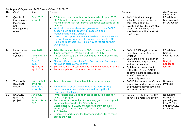*Barking and Dagenham SACRE Annual Report 2019-20*

| <b>No</b> | Priority                                                               | Date                                                                                            | Process                                                                                                                                                                                                                                                                                                                                                                                                                                                                                                                                                 | <b>Outcomes</b>                                                                                                                                                                                                                                                                                                                  | Cost/resource<br><i>implications</i>                                                     |
|-----------|------------------------------------------------------------------------|-------------------------------------------------------------------------------------------------|---------------------------------------------------------------------------------------------------------------------------------------------------------------------------------------------------------------------------------------------------------------------------------------------------------------------------------------------------------------------------------------------------------------------------------------------------------------------------------------------------------------------------------------------------------|----------------------------------------------------------------------------------------------------------------------------------------------------------------------------------------------------------------------------------------------------------------------------------------------------------------------------------|------------------------------------------------------------------------------------------|
|           | Quality of<br>teaching and<br>leadership<br>and<br>management<br>of RE | <b>Sept 2020</b><br>onwards                                                                     | RE Advisor to work with schools in academic year 2020-<br>2021 to get them ready for new monitoring form in which<br>we will start to ask for information about standards of RE<br>in 2021<br>Work with headteachers and governors to help SACRE<br>$\bullet$<br>support high quality teaching, leadership and<br>management in B&D schools<br>Look to train up RE SLE (senior leaders in education), so<br>that we have a work force to support high quality RE<br>Highlight to schools REQM as a way to reflect on their<br>$\bullet$<br>own practice | SACRE is able to support<br>schools that are weaker in<br>their teaching of RE<br>SACRE and LA SLE's are able<br>$\bullet$<br>to understand what high<br>standards look like in RE with<br>confidence                                                                                                                            | RE advisors<br>time covered<br>by LA budget                                              |
| 8         | Launch new<br>Agreed<br>Syllabus                                       | May 2020<br>June and July<br>2020<br>Sept-Oct<br>2020<br><b>April 2021</b><br><b>April 2021</b> | Advertise schools training to B&D schools: Primary 8th<br>June; Secondary 16 <sup>th</sup> June and EYFS 9 <sup>th</sup> July<br>RE consultant to plan new training as now will be on-line<br>$\bullet$<br>due to COVID19<br>Plan an official launch for AS in Borough and find budget<br>$\bullet$<br>for launch after COVID is over<br>Survey schools to gain feedback on implementation of AS<br>Survey pupils and parents about RE in LA                                                                                                            | B&D LA fulfil legal duties on<br>$\bullet$<br>publishing a new Agreed<br>Syllabus<br>B&D schools will be clear on<br>$\bullet$<br>new syllabus requirements<br>and implementation<br>Syllabus is known about<br>$\bullet$<br>within the LA, and SACRE<br>becomes more recognised as<br>a useful partner in<br>community cohesion | RE advisers<br>time is<br>covered in LA<br>work<br><b>Budget</b><br>needed for<br>launch |
| 9         | Work with<br><b>B&amp;D Faith</b><br>Forum                             | <b>March 2020</b><br>onwards<br><b>Sept 2020</b><br>onwards                                     | To create a place of worship database for schools<br>RE Advisor to offer training to faith leaders so they<br>understand our new syllabus as well as top tips for<br>receiving school visits                                                                                                                                                                                                                                                                                                                                                            | SACRE becomes a helpful and<br>$\bullet$<br>supportive partner for schools<br>by providing appropriate links<br>into local communities                                                                                                                                                                                           | No costs<br>involved                                                                     |
| 10        | <b>NASACRE</b><br>grant and<br>project                                 | June/July<br>2020<br>Autumn term<br>2020                                                        | Avril, Randip and Claire to meet to produce a plan for<br>$\bullet$<br>doing the project<br>Autumn term create flyer for schools, get schools signed<br>$\bullet$<br>up for conference day for Spring term.<br>Share dates with SACRE members so they can also<br>attend (12 <sup>th</sup> Jan; 14 <sup>th</sup> Jan; 27 <sup>th</sup> Jan; 26 <sup>th</sup> Feb; 3 <sup>rd</sup> March;<br>11 <sup>th</sup> March<br>Organise opportunities for teachers and SACRE to meet<br>across the year                                                          | Support created for SACRE's<br>to function more effectively                                                                                                                                                                                                                                                                      | No funding<br>needed as<br>gained grant<br>from Westhill<br>and NASACRE<br>for £4000     |